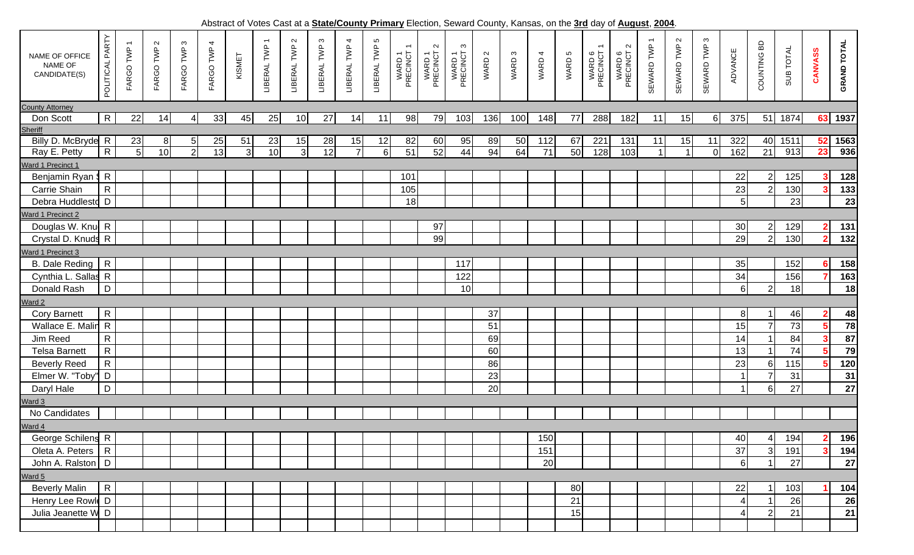Abstract of Votes Cast at a **State/County Primary** Election, Seward County, Kansas, on the **3rd** day of **August**, **2004**.

|                                            |                    |                                       |                     |                |                |                | woman's related back at a <b>biatorobanty in thing y</b> Elocatory, Comard County, Rancao, on the <u>ora</u> day or <u>August, Eco-P</u> |                |                         |                |                  |                                                |                              |                         |        |                   |        |        |                    |                              |                                        |                                     |                        |                  |                                  |           |                |                            |
|--------------------------------------------|--------------------|---------------------------------------|---------------------|----------------|----------------|----------------|------------------------------------------------------------------------------------------------------------------------------------------|----------------|-------------------------|----------------|------------------|------------------------------------------------|------------------------------|-------------------------|--------|-------------------|--------|--------|--------------------|------------------------------|----------------------------------------|-------------------------------------|------------------------|------------------|----------------------------------|-----------|----------------|----------------------------|
| NAME OF OFFICE<br>NAME OF<br>CANDIDATE(S)  | PARTY<br>POLITICAL | $\overline{\phantom{0}}$<br>FARGO TWP | $\sim$<br>FARGO TWP | FARGO TWP 3    | 4<br>FARGO TWP | KISMET         | LIBERAL TWP                                                                                                                              | LIBERAL TWP 2  | $\infty$<br>LIBERAL TWP | LIBERAL TWP 4  | Ю<br>LIBERAL TWP | $\overline{\phantom{0}}$<br>WARD 1<br>PRECINCT | $\sim$<br>WARD 1<br>PRECINCT | S<br>WARD 1<br>PRECINCT | WARD 2 | WARD <sub>3</sub> | WARD 4 | WARD 5 | WARD 6<br>PRECINCT | $\sim$<br>WARD 6<br>PRECINCT | $\overline{\phantom{m}}$<br>SEWARD TWP | $\boldsymbol{\alpha}$<br>SEWARD TWP | $\omega$<br>SEWARD TWP | <b>ADVANCE</b>   | COUNTING BD                      | SUB TOTAL | CANVASS        | <b>GRAND TOTAL</b>         |
| <b>County Attorney</b>                     |                    |                                       |                     |                |                |                |                                                                                                                                          |                |                         |                |                  |                                                |                              |                         |        |                   |        |        |                    |                              |                                        |                                     |                        |                  |                                  |           |                |                            |
| Don Scott                                  | $\mathsf{R}$       | 22                                    | 14                  | $\overline{4}$ | 33             | 45             | 25                                                                                                                                       | 10             | 27                      | 14             | 11               | 98                                             | 79                           | 103                     | 136    | 100               | 148    | 77     | 288                | 182                          | 11                                     | 15                                  | $6\vert$               | 375              |                                  | 51 1874   |                | 63 1937                    |
| <b>Sheriff</b>                             |                    |                                       |                     |                |                |                |                                                                                                                                          |                |                         |                |                  |                                                |                              |                         |        |                   |        |        |                    |                              |                                        |                                     |                        |                  |                                  |           |                |                            |
| Billy D. McBryde R                         |                    | 23                                    | 8 <sup>1</sup>      | 5 <sub>l</sub> | <u>25</u>      | 51             | 23                                                                                                                                       | 15             | 28                      | 15             | 12               | 82                                             | 60                           | 95                      | 89     | 50                | 112    | 67     | 221                | 131                          | 11                                     | 15                                  | 11                     | 322              |                                  | 40 1511   |                | $52$ 1563                  |
| Ray E. Petty                               | $\mathsf{R}$       | $5\overline{)}$                       | 10                  | $\overline{2}$ | 13             | $\overline{3}$ | 10                                                                                                                                       | $\overline{3}$ | 12                      | $\overline{7}$ | 6                | 51                                             | 52                           | 44                      | 94     | 64                | 71     | 50     | 128                | 103                          | $\mathbf{1}$                           | $\overline{\mathbf{1}}$             | $\overline{O}$         | 162              | 21                               | 913       | 23             | 936                        |
| Ward 1 Precinct 1                          |                    |                                       |                     |                |                |                |                                                                                                                                          |                |                         |                |                  |                                                |                              |                         |        |                   |        |        |                    |                              |                                        |                                     |                        |                  |                                  |           |                |                            |
| Benjamin Ryan \$ R                         |                    |                                       |                     |                |                |                |                                                                                                                                          |                |                         |                |                  | 101                                            |                              |                         |        |                   |        |        |                    |                              |                                        |                                     |                        | 22               | $\mathbf{2}$                     | 125       |                | 128                        |
| Carrie Shain                               | $\mathsf{R}$       |                                       |                     |                |                |                |                                                                                                                                          |                |                         |                |                  | 105                                            |                              |                         |        |                   |        |        |                    |                              |                                        |                                     |                        | 23               | $\overline{2}$                   | 130       |                | 133                        |
| Debra Huddlestd D                          |                    |                                       |                     |                |                |                |                                                                                                                                          |                |                         |                |                  | 18                                             |                              |                         |        |                   |        |        |                    |                              |                                        |                                     |                        | 5 <sub>l</sub>   |                                  | 23        |                | $\overline{23}$            |
| Ward 1 Precinct 2                          |                    |                                       |                     |                |                |                |                                                                                                                                          |                |                         |                |                  |                                                |                              |                         |        |                   |        |        |                    |                              |                                        |                                     |                        |                  |                                  | 129       | $\mathbf{2}$   |                            |
| Douglas W. Knu<br>Crystal D. Knuds R       |                    |                                       |                     |                |                |                |                                                                                                                                          |                |                         |                |                  |                                                | 97<br>99                     |                         |        |                   |        |        |                    |                              |                                        |                                     |                        | 30<br>29         | $\overline{2}$<br>$\overline{2}$ | 130       | $\overline{2}$ | 131                        |
|                                            |                    |                                       |                     |                |                |                |                                                                                                                                          |                |                         |                |                  |                                                |                              |                         |        |                   |        |        |                    |                              |                                        |                                     |                        |                  |                                  |           |                | 132                        |
| Ward 1 Precinct 3<br><b>B.</b> Dale Reding | $\overline{R}$     |                                       |                     |                |                |                |                                                                                                                                          |                |                         |                |                  |                                                |                              | 117                     |        |                   |        |        |                    |                              |                                        |                                     |                        | 35               |                                  | 152       | 6.             | <b>158</b>                 |
| Cynthia L. Sallas R                        |                    |                                       |                     |                |                |                |                                                                                                                                          |                |                         |                |                  |                                                |                              | 122                     |        |                   |        |        |                    |                              |                                        |                                     |                        | 34               |                                  | 156       |                | 163                        |
| Donald Rash                                | D                  |                                       |                     |                |                |                |                                                                                                                                          |                |                         |                |                  |                                                |                              | 10                      |        |                   |        |        |                    |                              |                                        |                                     |                        | $6 \mid$         | $2\vert$                         | 18        |                | $\overline{18}$            |
| Ward 2                                     |                    |                                       |                     |                |                |                |                                                                                                                                          |                |                         |                |                  |                                                |                              |                         |        |                   |        |        |                    |                              |                                        |                                     |                        |                  |                                  |           |                |                            |
| <b>Cory Barnett</b>                        | $\mathsf{R}$       |                                       |                     |                |                |                |                                                                                                                                          |                |                         |                |                  |                                                |                              |                         | 37     |                   |        |        |                    |                              |                                        |                                     |                        | 8 <sup>1</sup>   |                                  | 46        |                | 48                         |
| Wallace E. Malin R                         |                    |                                       |                     |                |                |                |                                                                                                                                          |                |                         |                |                  |                                                |                              |                         | 51     |                   |        |        |                    |                              |                                        |                                     |                        | 15               |                                  | 73        |                | 78                         |
| Jim Reed                                   | ${\sf R}$          |                                       |                     |                |                |                |                                                                                                                                          |                |                         |                |                  |                                                |                              |                         | 69     |                   |        |        |                    |                              |                                        |                                     |                        | 14               |                                  | 84        |                | $\overline{\overline{87}}$ |
| <b>Telsa Barnett</b>                       | $\mathsf{R}$       |                                       |                     |                |                |                |                                                                                                                                          |                |                         |                |                  |                                                |                              |                         | 60     |                   |        |        |                    |                              |                                        |                                     |                        | 13               |                                  | 74        |                | 79                         |
| <b>Beverly Reed</b>                        | $\mathsf{R}$       |                                       |                     |                |                |                |                                                                                                                                          |                |                         |                |                  |                                                |                              |                         | 86     |                   |        |        |                    |                              |                                        |                                     |                        | 23               | 61                               | 115       |                | 120                        |
| Elmer W. "Toby                             | D                  |                                       |                     |                |                |                |                                                                                                                                          |                |                         |                |                  |                                                |                              |                         | 23     |                   |        |        |                    |                              |                                        |                                     |                        | $\overline{1}$   |                                  | 31        |                | 31                         |
| Daryl Hale                                 | D                  |                                       |                     |                |                |                |                                                                                                                                          |                |                         |                |                  |                                                |                              |                         | 20     |                   |        |        |                    |                              |                                        |                                     |                        |                  | 61                               | 27        |                | $27\,$                     |
| Ward 3                                     |                    |                                       |                     |                |                |                |                                                                                                                                          |                |                         |                |                  |                                                |                              |                         |        |                   |        |        |                    |                              |                                        |                                     |                        |                  |                                  |           |                |                            |
| No Candidates                              |                    |                                       |                     |                |                |                |                                                                                                                                          |                |                         |                |                  |                                                |                              |                         |        |                   |        |        |                    |                              |                                        |                                     |                        |                  |                                  |           |                |                            |
| Ward 4                                     |                    |                                       |                     |                |                |                |                                                                                                                                          |                |                         |                |                  |                                                |                              |                         |        |                   |        |        |                    |                              |                                        |                                     |                        |                  |                                  |           |                |                            |
| George Schilens R                          |                    |                                       |                     |                |                |                |                                                                                                                                          |                |                         |                |                  |                                                |                              |                         |        |                   | 150    |        |                    |                              |                                        |                                     |                        | 40               | $\overline{4}$                   | 194       | 2 <sub>1</sub> | <u>196</u>                 |
| Oleta A. Peters   R                        |                    |                                       |                     |                |                |                |                                                                                                                                          |                |                         |                |                  |                                                |                              |                         |        |                   | 151    |        |                    |                              |                                        |                                     |                        | 37               | 3                                | 191       |                | 194                        |
| John A. Ralston   D                        |                    |                                       |                     |                |                |                |                                                                                                                                          |                |                         |                |                  |                                                |                              |                         |        |                   | 20     |        |                    |                              |                                        |                                     |                        | $6 \overline{6}$ |                                  | 27        |                | 27                         |
| Ward 5                                     |                    |                                       |                     |                |                |                |                                                                                                                                          |                |                         |                |                  |                                                |                              |                         |        |                   |        |        |                    |                              |                                        |                                     |                        |                  |                                  |           |                |                            |
| <b>Beverly Malin</b>                       | ${\sf R}$          |                                       |                     |                |                |                |                                                                                                                                          |                |                         |                |                  |                                                |                              |                         |        |                   |        | 80     |                    |                              |                                        |                                     |                        | 22               |                                  | 103       |                | 104                        |
| Henry Lee Rowld D                          |                    |                                       |                     |                |                |                |                                                                                                                                          |                |                         |                |                  |                                                |                              |                         |        |                   |        | 21     |                    |                              |                                        |                                     |                        | $\overline{4}$   |                                  | 26        |                | 26                         |
| Julia Jeanette W D                         |                    |                                       |                     |                |                |                |                                                                                                                                          |                |                         |                |                  |                                                |                              |                         |        |                   |        | 15     |                    |                              |                                        |                                     |                        | $\overline{4}$   | $\overline{2}$                   | 21        |                | 21                         |
|                                            |                    |                                       |                     |                |                |                |                                                                                                                                          |                |                         |                |                  |                                                |                              |                         |        |                   |        |        |                    |                              |                                        |                                     |                        |                  |                                  |           |                |                            |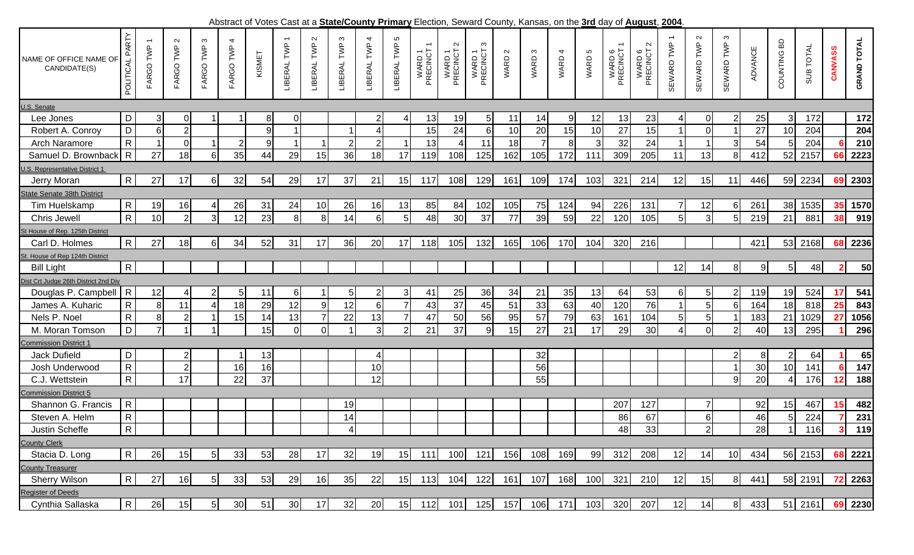Abstract of Votes Cast at a **State/County Primary** Election, Seward County, Kansas, on the **3rd** day of **August**, **2004**.

|                                        |                              |                |                     |                |                 |        |                                         |                       |                  |                  |                  |                    |                              | Aboulded of Voice Oder at a <u>OldichOoding Finnary</u> Liceuph, Ocward Ooding, Naneae, on the <u>Ord</u> day of <u>August, 2004</u> |                 |           |        |           |                                                |                              |            |                      |                        |                |                                |           |                |                    |
|----------------------------------------|------------------------------|----------------|---------------------|----------------|-----------------|--------|-----------------------------------------|-----------------------|------------------|------------------|------------------|--------------------|------------------------------|--------------------------------------------------------------------------------------------------------------------------------------|-----------------|-----------|--------|-----------|------------------------------------------------|------------------------------|------------|----------------------|------------------------|----------------|--------------------------------|-----------|----------------|--------------------|
| NAME OF OFFICE NAME OF<br>CANDIDATE(S) | PARTY<br>POLITICAL           | FARGO TWP      | $\sim$<br>FARGO TWP | S<br>FARGO TWP | 4<br>FARGO TWP  | KISMET | $\overline{\phantom{m}}$<br>LIBERAL TWP | $\sim$<br>LIBERAL TWP | S<br>LIBERAL TWP | 4<br>LIBERAL TWP | S<br>LIBERAL TWP | WARD 1<br>PRECINCT | $\sim$<br>WARD 1<br>PRECINCT | S<br>WARD 1<br>PRECINCT                                                                                                              | $\sim$<br>WARD: | S<br>WARD | WARD 4 | 5<br>WARD | $\overline{\phantom{m}}$<br>WARD 6<br>PRECINCT | $\sim$<br>WARD 6<br>PRECINCT | SEWARD TWP | $\sim$<br>SEWARD TWP | $\infty$<br>SEWARD TWP | <b>ADVANCE</b> | COUNTING BD                    | SUB TOTAL | <b>CANVASS</b> | <b>GRAND TOTAL</b> |
| U.S. Senate                            |                              |                |                     |                |                 |        |                                         |                       |                  |                  |                  |                    |                              |                                                                                                                                      |                 |           |        |           |                                                |                              |            |                      |                        |                |                                |           |                |                    |
| Lee Jones                              | D                            | 3 <sup>1</sup> | 0                   |                |                 | 8      | 0                                       |                       |                  |                  |                  | 13                 | 19                           | 5 <sub>l</sub>                                                                                                                       | 11              | 14        | 9      | 12        | 13                                             | 23                           |            | 0                    |                        | 25             | 3                              | 172       |                | 172                |
| Robert A. Conroy                       | $\mathsf D$                  | 6 <sup>1</sup> | $\overline{2}$      |                |                 | 9      | $\blacktriangleleft$                    |                       |                  |                  |                  | 15                 | 24                           | $6 \mid$                                                                                                                             | 10              | 20        | 15     | 10        | 27                                             | 15                           |            | $\overline{0}$       |                        | 27             | 10                             | 204       |                | 204                |
| Arch Naramore                          | $\mathsf{R}$                 |                | $\mathbf 0$         |                | $\overline{2}$  | 9      |                                         |                       | $\overline{2}$   |                  |                  | 13                 |                              | 11                                                                                                                                   | 18              |           | 8      | 3         | 32                                             | 24                           |            |                      | 3                      | 54             | 5                              | 204       |                | 210                |
| Samuel D. Brownback R                  |                              | 27             | 18                  | 61             | 35              | 44     | 29                                      | 15                    | 36               | 18               | 17               | 119                | 108                          | 125                                                                                                                                  | 162             | 105       | 172    | 111       | 309                                            | 205                          | 11         | 13                   | 8                      | 412            | 52                             | 2157      | 66             | 2223               |
| U.S. Representative District 1         |                              |                |                     |                |                 |        |                                         |                       |                  |                  |                  |                    |                              |                                                                                                                                      |                 |           |        |           |                                                |                              |            |                      |                        |                |                                |           |                |                    |
| Jerry Moran                            | $\mathsf{R}$                 | 27             | 17                  | 61             | 32              | 54     | 29                                      | 17                    | 37               | 21               | 15               | 117                | 108                          | 129                                                                                                                                  | 161             | 109       | 174    | 103       | 321                                            | 214                          | 12         | 15                   | 11                     | 446            | 59                             | 2234      | 69             | 2303               |
| <b>State Senate 38th District</b>      |                              |                |                     |                |                 |        |                                         |                       |                  |                  |                  |                    |                              |                                                                                                                                      |                 |           |        |           |                                                |                              |            |                      |                        |                |                                |           |                |                    |
| Tim Huelskamp                          | $\mathsf{R}$                 | 19             | 16                  |                | 26              | 31     | 24                                      | 10                    | 26               | 16               | 13               | 85                 | 84                           | 102                                                                                                                                  | 105             | 75        | 124    | 94        | 226                                            | 131                          |            | 12                   | 6                      | 261            | 38                             | 1535      | 35             | 1570               |
| Chris Jewell                           | $\overline{R}$               | 10             | $\overline{2}$      |                | 12              | 23     | 8 <sup>1</sup>                          | 8                     | 14               |                  |                  | 48                 | 30                           | 37                                                                                                                                   | $\overline{77}$ | 39        | 59     | 22        | 120                                            | 105                          |            | 3 <sup>1</sup>       | 5                      | 219            | 21                             | 881       | 38             | 919                |
| St House of Rep. 125th District        |                              |                |                     |                |                 |        |                                         |                       |                  |                  |                  |                    |                              |                                                                                                                                      |                 |           |        |           |                                                |                              |            |                      |                        |                |                                |           |                |                    |
| Carl D. Holmes                         | $\mathsf{R}$                 | 27             | 18                  | 61             | 34              | 52     | 31                                      | 17                    | 36               | 20               | 17               | 118                | 105                          | 132                                                                                                                                  | 165             | 106       | 170    | 104       | 320                                            | 216                          |            |                      |                        | 421            | 53                             | 2168      |                | 68 2236            |
| St. House of Rep 124th District        |                              |                |                     |                |                 |        |                                         |                       |                  |                  |                  |                    |                              |                                                                                                                                      |                 |           |        |           |                                                |                              |            |                      |                        |                |                                |           |                |                    |
| <b>Bill Light</b>                      | $\mathsf{R}$                 |                |                     |                |                 |        |                                         |                       |                  |                  |                  |                    |                              |                                                                                                                                      |                 |           |        |           |                                                |                              | 12         | 14                   | 8                      | 9              | 5 <sub>l</sub>                 | 48        | $\mathbf{2}$   | 50                 |
| Dist Crt Judge 26th District 2nd Div   |                              |                |                     |                |                 |        |                                         |                       |                  |                  |                  |                    |                              |                                                                                                                                      |                 |           |        |           |                                                |                              |            |                      |                        |                |                                |           |                |                    |
| Douglas P. Campbell                    | $\overline{R}$               | 12             | $\frac{4}{ }$       |                | 5 <sub>l</sub>  | 11     | $6 \mid$                                |                       | 5 <sub>l</sub>   |                  | 3                | 41                 | 25                           | 36                                                                                                                                   | 34              | 21        | 35     | 13        | 64                                             | 53                           | 61         | 5 <sub>l</sub>       | $\overline{2}$         | 119            | 19                             | 524       | 17             | 541                |
| James A. Kuharic                       | $\mathsf{R}$                 | 8 <sup>1</sup> | 11                  |                | 18              | 29     | 12                                      | 9                     | 12               | 6                | 7                | 43                 | 37                           | 45                                                                                                                                   | 51              | 33        | 63     | 40        | 120                                            | 76                           |            | 5 <sup>1</sup>       | 6                      | 164            | 18                             | 818       | 25             | 843                |
| Nels P. Noel                           | $\mathsf{R}$                 | 8 <sup>1</sup> | $\overline{2}$      |                | 15              | 14     | 13                                      |                       | 22               | 13               |                  | 47                 | 50                           | 56                                                                                                                                   | 95              | 57        | 79     | 63        | 161                                            | 104                          |            |                      |                        | 183            | 21                             | 1029      | 27             | 1056               |
| M. Moran Tomson                        | D                            | $\overline{7}$ | 1                   |                |                 | 15     | $\Omega$                                | $\overline{0}$        |                  | 3                | $\overline{2}$   | 21                 | 37                           | 9                                                                                                                                    | 15              | 27        | 21     | 17        | 29                                             | 30                           |            | $\overline{0}$       | $\overline{2}$         | 40             | 13                             | 295       |                | 296                |
| <b>Commission District 1</b>           |                              |                |                     |                |                 |        |                                         |                       |                  |                  |                  |                    |                              |                                                                                                                                      |                 |           |        |           |                                                |                              |            |                      |                        |                |                                |           |                |                    |
| Jack Dufield                           | $\mathsf D$                  |                | $\mathbf{2}$        |                |                 | 13     |                                         |                       |                  | 4                |                  |                    |                              |                                                                                                                                      |                 | 32        |        |           |                                                |                              |            |                      | 2                      | 8              | 2                              | 64        |                | 65                 |
| Josh Underwood                         | $\mathsf{R}$                 |                | $\overline{2}$      |                | 16              | 16     |                                         |                       |                  | 10               |                  |                    |                              |                                                                                                                                      |                 | 56        |        |           |                                                |                              |            |                      |                        | 30             | 10                             | 141       |                | 147                |
| C.J. Wettstein                         | $\overline{R}$               |                | 17                  |                | 22              | 37     |                                         |                       |                  | 12               |                  |                    |                              |                                                                                                                                      |                 | 55        |        |           |                                                |                              |            |                      | 9                      | 20             | 4                              | 176       | 12             | 188                |
| <b>Commission District 5</b>           |                              |                |                     |                |                 |        |                                         |                       |                  |                  |                  |                    |                              |                                                                                                                                      |                 |           |        |           |                                                |                              |            |                      |                        |                |                                |           |                |                    |
| Shannon G. Francis                     | $\mathsf{R}$                 |                |                     |                |                 |        |                                         |                       | 19               |                  |                  |                    |                              |                                                                                                                                      |                 |           |        |           | 207                                            | 127                          |            | $\overline{7}$       |                        | 92             | 15                             | 467       | 15             | 482                |
| Steven A. Helm                         | $\mathsf{R}$                 |                |                     |                |                 |        |                                         |                       | 14               |                  |                  |                    |                              |                                                                                                                                      |                 |           |        |           | 86                                             | 67                           |            | $6 \mid$             |                        | 46             | 5                              | 224       |                | 231                |
| Justin Scheffe                         | $\mathbf{R}$<br>$\mathbf{1}$ |                |                     |                |                 |        |                                         |                       | $\overline{A}$   |                  |                  |                    |                              |                                                                                                                                      |                 |           |        |           | 48                                             | 33                           |            | $\Omega$<br>$\sim$ 1 |                        | 281<br>20 L    | $\overline{A}$<br>$\mathbf{H}$ | 116       |                | $3 \quad 119$      |
| <b>County Clerk</b>                    |                              |                |                     |                |                 |        |                                         |                       |                  |                  |                  |                    |                              |                                                                                                                                      |                 |           |        |           |                                                |                              |            |                      |                        |                |                                |           |                |                    |
| Stacia D. Long                         | $\mathsf{R}$                 | 26             | 15                  | 51             | 33              | 53     | 28                                      | 17                    | 32               | 19               | 15               | 111                | 100                          | 121                                                                                                                                  | 156             | 108       | 169    | 99        | 312                                            | 208                          | 12         | 14                   | 10                     | 434            |                                | 56 2153   | 68             | 2221               |
| <b>County Treasurer</b>                |                              |                |                     |                |                 |        |                                         |                       |                  |                  |                  |                    |                              |                                                                                                                                      |                 |           |        |           |                                                |                              |            |                      |                        |                |                                |           |                |                    |
| <b>Sherry Wilson</b>                   | $\mathsf{R}$                 | 27             | 16                  |                | 33              | 53     | 29                                      | 16                    | 35               | 22               | 15               | 113                | 104                          | 122                                                                                                                                  | 161             | 107       | 168    | 100       | 321                                            | 210                          | 12         | 15                   | 8 <sup>1</sup>         | 441            |                                | 58 2191   | -72            | 2263               |
| <b>Register of Deeds</b>               |                              |                |                     |                |                 |        |                                         |                       |                  |                  |                  |                    |                              |                                                                                                                                      |                 |           |        |           |                                                |                              |            |                      |                        |                |                                |           |                |                    |
| Cynthia Sallaska                       | $\mathsf{R}$                 | 26             | 15                  | 51             | 30 <sub>l</sub> | 51     | 30                                      | 17                    | 32               | 20               | 15               | 112                | 101                          | 125                                                                                                                                  | 157             | 106       | 171    | 103       | 320                                            | 207                          | 12         | 14                   | 8 <sup>1</sup>         | 433            |                                | 51 2161   |                | 69 2230            |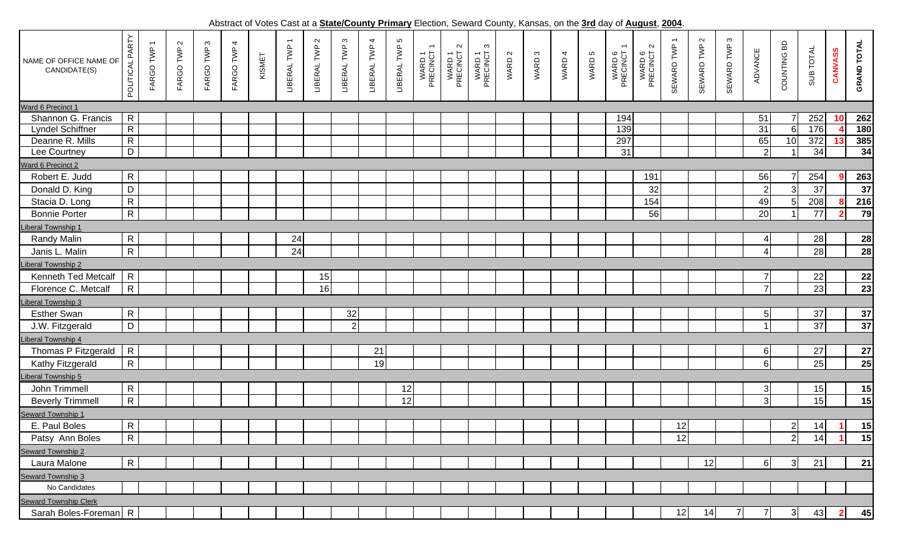Abstract of Votes Cast at a **State/County Primary** Election, Seward County, Kansas, on the **3rd** day of **August**, **2004**.

| NAME OF OFFICE NAME OF<br>CANDIDATE(S)                                  | PARTY<br>POLITICAL | FARGO TWP | FARGO TWP 2 | FARGO TWP 3 | 4<br>FARGO TWP | KISMET | $\overline{ }$<br>LIBERAL TWP | $\sim$<br>LIBERAL TWP | $\infty$<br>LIBERAL TWP | 4<br>LIBERAL TWP | 5<br>LIBERAL TWP | WARD 1<br>PRECINCT | $\sim$<br>WARD 1<br>PRECINCT : | $\infty$<br>WARD 1<br>PRECINCT | WARD 2 | WARD 3 | WARD 4 | WARD 5 | $\overline{\phantom{0}}$<br>WARD 6<br>PRECINCT | $\sim$<br>WARD 6<br>PRECINCT | $\overline{\phantom{0}}$<br>SEWARD TWP | $\mathbf{\Omega}$<br>SEWARD TWP | SEWARD TWP 3   | <b>ADVANCE</b> | COUNTING BD    | SUB TOTAL | CANVASS      | <b>GRAND TOTAL</b> |
|-------------------------------------------------------------------------|--------------------|-----------|-------------|-------------|----------------|--------|-------------------------------|-----------------------|-------------------------|------------------|------------------|--------------------|--------------------------------|--------------------------------|--------|--------|--------|--------|------------------------------------------------|------------------------------|----------------------------------------|---------------------------------|----------------|----------------|----------------|-----------|--------------|--------------------|
| Ward 6 Precinct 1                                                       |                    |           |             |             |                |        |                               |                       |                         |                  |                  |                    |                                |                                |        |        |        |        |                                                |                              |                                        |                                 |                |                |                |           |              |                    |
| Shannon G. Francis                                                      | $\overline{R}$     |           |             |             |                |        |                               |                       |                         |                  |                  |                    |                                |                                |        |        |        |        | 194                                            |                              |                                        |                                 |                | 51             |                | 252       | 10           | 262                |
| <b>Lyndel Schiffner</b>                                                 | $\overline{R}$     |           |             |             |                |        |                               |                       |                         |                  |                  |                    |                                |                                |        |        |        |        | 139                                            |                              |                                        |                                 |                | 31             | 6              | 176       |              | 180                |
| Deanne R. Mills                                                         | $\overline{R}$     |           |             |             |                |        |                               |                       |                         |                  |                  |                    |                                |                                |        |        |        |        | 297                                            |                              |                                        |                                 |                | 65             | 10             | 372       |              | 385                |
| Lee Courtney                                                            | D                  |           |             |             |                |        |                               |                       |                         |                  |                  |                    |                                |                                |        |        |        |        | 31                                             |                              |                                        |                                 |                | $\overline{2}$ |                | 34        |              | 34                 |
| Ward 6 Precinct 2<br>Robert E. Judd<br>$\mathsf{R}$<br>56<br>254<br>191 |                    |           |             |             |                |        |                               |                       |                         |                  |                  |                    |                                |                                |        |        |        |        |                                                |                              |                                        |                                 |                |                |                |           |              |                    |
|                                                                         |                    |           |             |             |                |        |                               |                       |                         |                  |                  |                    |                                |                                |        |        |        |        |                                                |                              |                                        |                                 |                |                |                |           |              | 263                |
| Donald D. King                                                          | $\mathsf D$        |           |             |             |                |        |                               |                       |                         |                  |                  |                    |                                |                                |        |        |        |        |                                                | 32                           |                                        |                                 |                | $\overline{2}$ | $\overline{3}$ | 37        |              | $\overline{37}$    |
| Stacia D. Long                                                          | $\mathsf{R}$       |           |             |             |                |        |                               |                       |                         |                  |                  |                    |                                |                                |        |        |        |        |                                                | 154                          |                                        |                                 |                | 49             |                | 208       |              | 216                |
| <b>Bonnie Porter</b>                                                    | $\mathsf{R}$       |           |             |             |                |        |                               |                       |                         |                  |                  |                    |                                |                                |        |        |        |        |                                                | 56                           |                                        |                                 |                | 20             |                | 77        | 2            | 79                 |
| <b>Liberal Township 1</b>                                               |                    |           |             |             |                |        |                               |                       |                         |                  |                  |                    |                                |                                |        |        |        |        |                                                |                              |                                        |                                 |                |                |                |           |              |                    |
| <b>Randy Malin</b>                                                      | $\mathsf{R}$       |           |             |             |                |        | 24                            |                       |                         |                  |                  |                    |                                |                                |        |        |        |        |                                                |                              |                                        |                                 |                |                |                | 28        |              | 28                 |
| Janis L. Malin                                                          | $\mathsf{R}$       |           |             |             |                |        | 24                            |                       |                         |                  |                  |                    |                                |                                |        |        |        |        |                                                |                              |                                        |                                 |                |                |                | 28        |              | 28                 |
| Liberal Township 2                                                      |                    |           |             |             |                |        |                               |                       |                         |                  |                  |                    |                                |                                |        |        |        |        |                                                |                              |                                        |                                 |                |                |                |           |              |                    |
| Kenneth Ted Metcalf                                                     | $\mathsf{R}$       |           |             |             |                |        |                               | 15                    |                         |                  |                  |                    |                                |                                |        |        |        |        |                                                |                              |                                        |                                 |                | $\overline{7}$ |                | 22        |              | 22                 |
| Florence C. Metcalf                                                     | $\mathsf{R}$       |           |             |             |                |        |                               | 16                    |                         |                  |                  |                    |                                |                                |        |        |        |        |                                                |                              |                                        |                                 |                | $\overline{7}$ |                | 23        |              | 23                 |
| <b>Liberal Township 3</b>                                               |                    |           |             |             |                |        |                               |                       |                         |                  |                  |                    |                                |                                |        |        |        |        |                                                |                              |                                        |                                 |                |                |                |           |              |                    |
| <b>Esther Swan</b>                                                      | $\mathsf{R}$       |           |             |             |                |        |                               |                       | 32                      |                  |                  |                    |                                |                                |        |        |        |        |                                                |                              |                                        |                                 |                | 5 <sup>1</sup> |                | 37        |              | 37                 |
| J.W. Fitzgerald                                                         | D                  |           |             |             |                |        |                               |                       | 2                       |                  |                  |                    |                                |                                |        |        |        |        |                                                |                              |                                        |                                 |                |                |                | 37        |              | $\overline{37}$    |
| <b>Liberal Township 4</b>                                               |                    |           |             |             |                |        |                               |                       |                         |                  |                  |                    |                                |                                |        |        |        |        |                                                |                              |                                        |                                 |                |                |                |           |              |                    |
| Thomas P Fitzgerald                                                     | $\mathsf{R}$       |           |             |             |                |        |                               |                       |                         | 21               |                  |                    |                                |                                |        |        |        |        |                                                |                              |                                        |                                 |                | $6 \mid$       |                | 27        |              | 27                 |
| Kathy Fitzgerald                                                        | $\mathsf{R}$       |           |             |             |                |        |                               |                       |                         | 19               |                  |                    |                                |                                |        |        |        |        |                                                |                              |                                        |                                 |                | $6 \mid$       |                | 25        |              | $\overline{25}$    |
| Liberal Township 5                                                      |                    |           |             |             |                |        |                               |                       |                         |                  |                  |                    |                                |                                |        |        |        |        |                                                |                              |                                        |                                 |                |                |                |           |              |                    |
| John Trimmell                                                           | $\mathsf{R}$       |           |             |             |                |        |                               |                       |                         |                  | 12               |                    |                                |                                |        |        |        |        |                                                |                              |                                        |                                 |                | $\sqrt{3}$     |                | 15        |              | 15                 |
| <b>Beverly Trimmell</b>                                                 | $\mathsf{R}$       |           |             |             |                |        |                               |                       |                         |                  | 12               |                    |                                |                                |        |        |        |        |                                                |                              |                                        |                                 |                | 3              |                | 15        |              | 15                 |
| <b>Seward Township 1</b>                                                |                    |           |             |             |                |        |                               |                       |                         |                  |                  |                    |                                |                                |        |        |        |        |                                                |                              |                                        |                                 |                |                |                |           |              |                    |
| E. Paul Boles                                                           | $\mathsf{R}$       |           |             |             |                |        |                               |                       |                         |                  |                  |                    |                                |                                |        |        |        |        |                                                |                              | 12                                     |                                 |                |                | 2 <sub>l</sub> | 14        |              | 15                 |
| Patsy Ann Boles                                                         | ${\sf R}$          |           |             |             |                |        |                               |                       |                         |                  |                  |                    |                                |                                |        |        |        |        |                                                |                              | 12                                     |                                 |                |                | $2\vert$       | 14        |              | 15                 |
| <b>Seward Township 2</b>                                                |                    |           |             |             |                |        |                               |                       |                         |                  |                  |                    |                                |                                |        |        |        |        |                                                |                              |                                        |                                 |                |                |                |           |              |                    |
| Laura Malone                                                            | R                  |           |             |             |                |        |                               |                       |                         |                  |                  |                    |                                |                                |        |        |        |        |                                                |                              |                                        | 12                              |                | 6              | 3 <sup>1</sup> | 21        |              | 21                 |
| Seward Township 3                                                       |                    |           |             |             |                |        |                               |                       |                         |                  |                  |                    |                                |                                |        |        |        |        |                                                |                              |                                        |                                 |                |                |                |           |              |                    |
| No Candidates                                                           |                    |           |             |             |                |        |                               |                       |                         |                  |                  |                    |                                |                                |        |        |        |        |                                                |                              |                                        |                                 |                |                |                |           |              |                    |
| <b>Seward Township Clerk</b>                                            |                    |           |             |             |                |        |                               |                       |                         |                  |                  |                    |                                |                                |        |        |        |        |                                                |                              |                                        |                                 |                |                |                |           |              |                    |
| Sarah Boles-Foreman R                                                   |                    |           |             |             |                |        |                               |                       |                         |                  |                  |                    |                                |                                |        |        |        |        |                                                |                              | 12                                     | 14                              | $\overline{7}$ |                | 3 <sup>1</sup> | 43        | $\mathbf{2}$ | 45                 |
|                                                                         |                    |           |             |             |                |        |                               |                       |                         |                  |                  |                    |                                |                                |        |        |        |        |                                                |                              |                                        |                                 |                |                |                |           |              |                    |